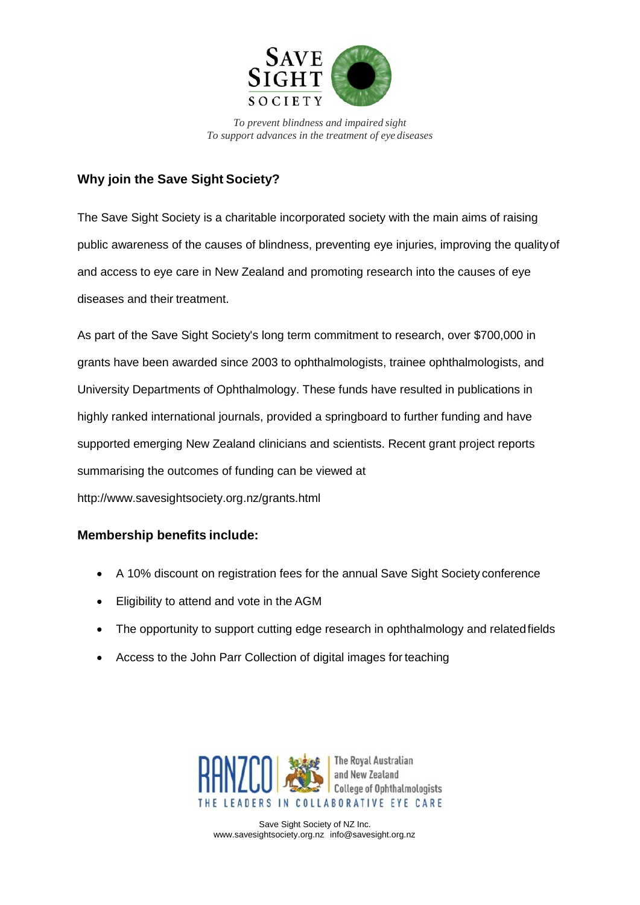

*To prevent blindness and impaired sight To support advances in the treatment of eye diseases*

## **Why join the Save Sight Society?**

The Save Sight Society is a charitable incorporated society with the main aims of raising public awareness of the causes of blindness, preventing eye injuries, improving the qualityof and access to eye care in New Zealand and promoting research into the causes of eye diseases and their treatment.

As part of the Save Sight Society's long term commitment to research, over \$700,000 in grants have been awarded since 2003 to ophthalmologists, trainee ophthalmologists, and University Departments of Ophthalmology. These funds have resulted in publications in highly ranked international journals, provided a springboard to further funding and have supported emerging New Zealand clinicians and scientists. Recent grant project reports summarising the outcomes of funding can be viewed at <http://www.savesightsociety.org.nz/grants.html>

## **Membership benefits include:**

- A 10% discount on registration fees for the annual Save Sight Society conference
- Eligibility to attend and vote in the AGM
- The opportunity to support cutting edge research in ophthalmology and related fields
- Access to the John Parr Collection of digital images for teaching



Save Sight Society of NZ Inc. [www.savesightsociety.org.nz](http://www.savesightsociety.org.nz/) [info@savesight.org.nz](mailto:info@savesight.org.nz)